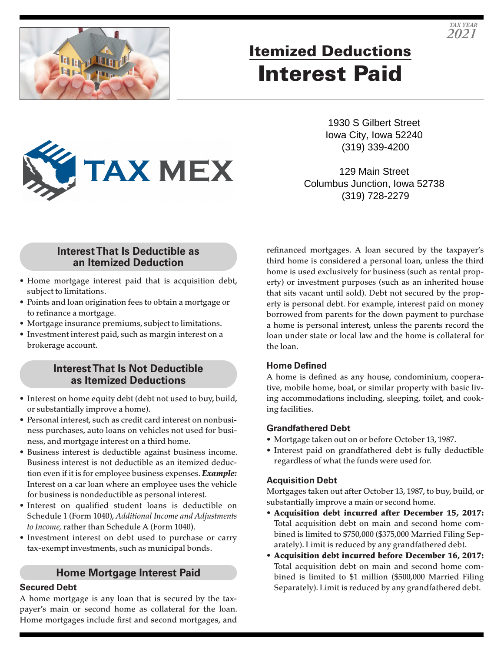

# Itemized Deductions Interest Paid

1930 S Gilbert Street Iowa City, Iowa 52240 (319) 339-4200

129 Main Street Columbus Junction, Iowa 52738 (319) 728-2279

## **Interest That Is Deductible as an Itemized Deduction**

**TAX MEX** 

- Home mortgage interest paid that is acquisition debt, subject to limitations.
- Points and loan origination fees to obtain a mortgage or to refinance a mortgage.
- Mortgage insurance premiums, subject to limitations.
- Investment interest paid, such as margin interest on a brokerage account.

### **Interest That Is Not Deductible as Itemized Deductions**

- Interest on home equity debt (debt not used to buy, build, or substantially improve a home).
- Personal interest, such as credit card interest on nonbusiness purchases, auto loans on vehicles not used for business, and mortgage interest on a third home.
- Business interest is deductible against business income. Business interest is not deductible as an itemized deduction even if it is for employee business expenses. *Example:* Interest on a car loan where an employee uses the vehicle for business is nondeductible as personal interest.
- Interest on qualified student loans is deductible on Schedule 1 (Form 1040), *Additional Income and Adjustments to Income,* rather than Schedule A (Form 1040).
- Investment interest on debt used to purchase or carry tax-exempt investments, such as municipal bonds.

## **Home Mortgage Interest Paid**

#### **Secured Debt**

A home mortgage is any loan that is secured by the taxpayer's main or second home as collateral for the loan. Home mortgages include first and second mortgages, and refinanced mortgages. A loan secured by the taxpayer's third home is considered a personal loan, unless the third home is used exclusively for business (such as rental property) or investment purposes (such as an inherited house that sits vacant until sold). Debt not secured by the property is personal debt. For example, interest paid on money borrowed from parents for the down payment to purchase a home is personal interest, unless the parents record the loan under state or local law and the home is collateral for the loan.

#### **Home Defined**

A home is defined as any house, condominium, cooperative, mobile home, boat, or similar property with basic living accommodations including, sleeping, toilet, and cooking facilities.

#### **Grandfathered Debt**

- Mortgage taken out on or before October 13, 1987.
- Interest paid on grandfathered debt is fully deductible regardless of what the funds were used for.

#### **Acquisition Debt**

Mortgages taken out after October 13, 1987, to buy, build, or substantially improve a main or second home.

- Acquisition debt incurred after December 15, 2017: Total acquisition debt on main and second home combined is limited to \$750,000 (\$375,000 Married Filing Separately). Limit is reduced by any grandfathered debt.
- Acquisition debt incurred before December 16, 2017: Total acquisition debt on main and second home combined is limited to \$1 million (\$500,000 Married Filing Separately). Limit is reduced by any grandfathered debt.